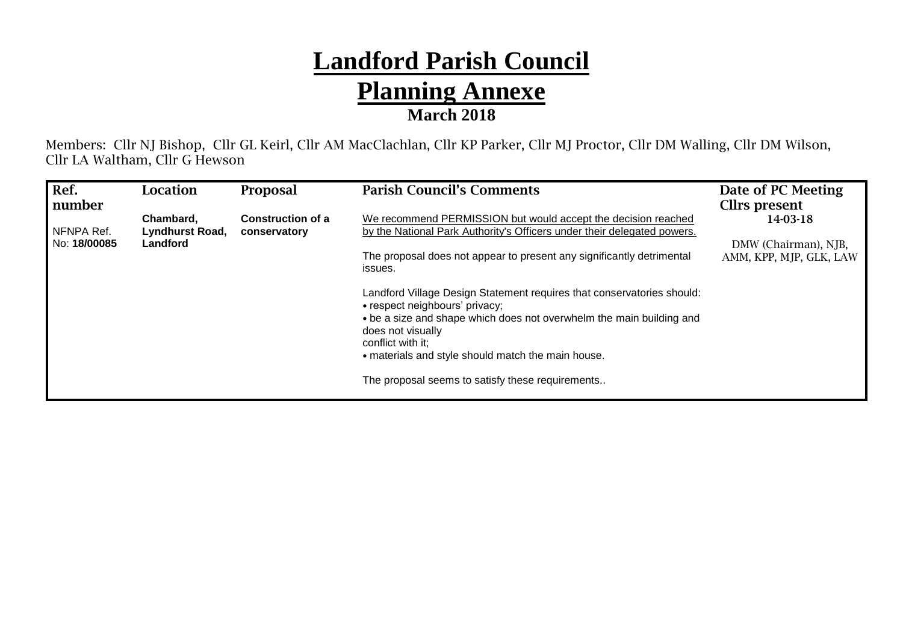## **Landford Parish Council Planning Annexe March 2018**

Members: Cllr NJ Bishop, Cllr GL Keirl, Cllr AM MacClachlan, Cllr KP Parker, Cllr MJ Proctor, Cllr DM Walling, Cllr DM Wilson, Cllr LA Waltham, Cllr G Hewson

| Ref.         | Location        | <b>Proposal</b>          | <b>Parish Council's Comments</b>                                                                               | Date of PC Meeting      |
|--------------|-----------------|--------------------------|----------------------------------------------------------------------------------------------------------------|-------------------------|
| number       |                 |                          |                                                                                                                | Cllrs present           |
|              | Chambard.       | <b>Construction of a</b> | We recommend PERMISSION but would accept the decision reached                                                  | 14-03-18                |
| NFNPA Ref.   | Lyndhurst Road, | conservatory             | by the National Park Authority's Officers under their delegated powers.                                        |                         |
| No: 18/00085 | Landford        |                          |                                                                                                                | DMW (Chairman), NJB,    |
|              |                 |                          | The proposal does not appear to present any significantly detrimental<br>issues.                               | AMM, KPP, MJP, GLK, LAW |
|              |                 |                          | Landford Village Design Statement requires that conservatories should:<br>• respect neighbours' privacy;       |                         |
|              |                 |                          | • be a size and shape which does not overwhelm the main building and<br>does not visually<br>conflict with it; |                         |
|              |                 |                          | • materials and style should match the main house.                                                             |                         |
|              |                 |                          | The proposal seems to satisfy these requirements                                                               |                         |
|              |                 |                          |                                                                                                                |                         |